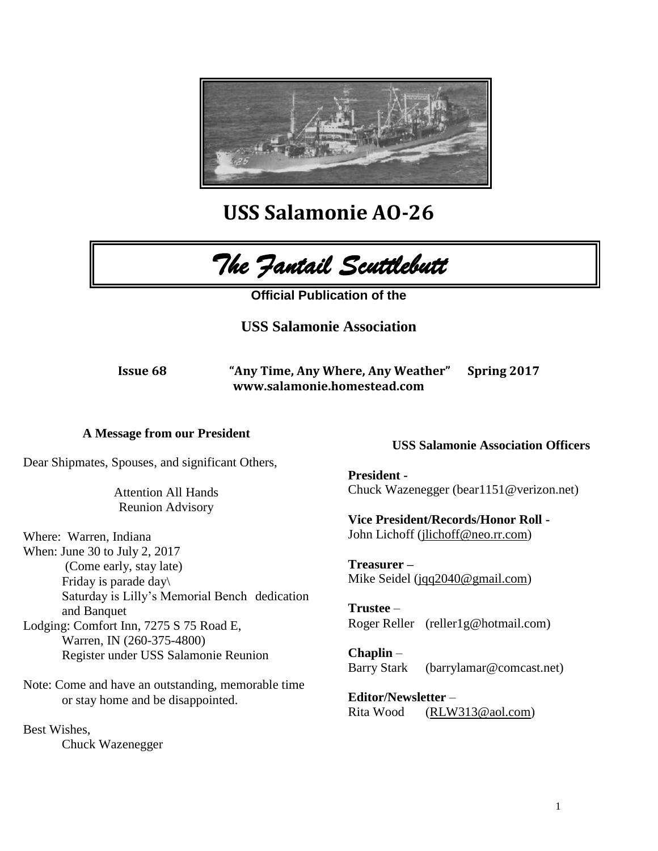

**USS Salamonie AO-26**



**Official Publication of the** 

**USS Salamonie Association**

**Issue 68 "Any Time, Any Where, Any Weather" Spring 2017 www.salamonie.homestead.com**

## **A Message from our President**

Dear Shipmates, Spouses, and significant Others,

Attention All Hands Reunion Advisory

Where: Warren, Indiana When: June 30 to July 2, 2017 (Come early, stay late) Friday is parade day\ Saturday is Lilly's Memorial Bench dedication and Banquet Lodging: Comfort Inn, 7275 S 75 Road E,

Warren, IN (260-375-4800) Register under USS Salamonie Reunion

Note: Come and have an outstanding, memorable time or stay home and be disappointed.

Best Wishes, Chuck Wazenegger

## **USS Salamonie Association Officers**

**President -** Chuck Wazenegger (bear1151@verizon.net)

**Vice President/Records/Honor Roll -**  John Lichoff [\(jlichoff@neo.rr.com\)](mailto:jlichoff@neo.rr.com)

**Treasurer –** Mike Seidel [\(jqq2040@gmail.com\)](mailto:jqq2040@gmail.com)

**Trustee** – Roger Reller (reller1g@hotmail.com)

**Chaplin** – Barry Stark (barrylamar@comcast.net)

**Editor/Newsletter** – Rita Wood [\(RLW313@aol.com\)](mailto:RLW313@aol.com)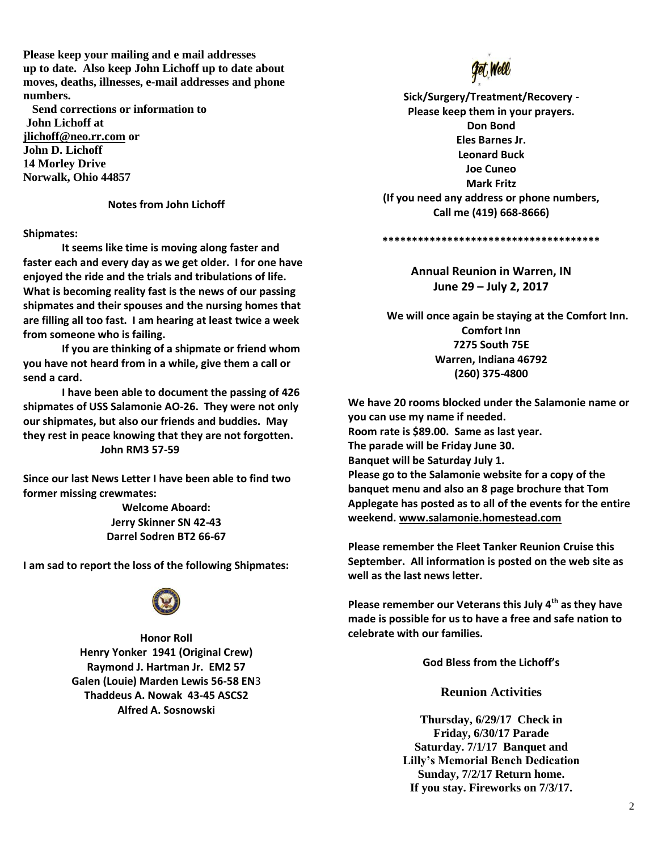**Please keep your mailing and e mail addresses up to date. Also keep John Lichoff up to date about moves, deaths, illnesses, e-mail addresses and phone numbers.**

 **Send corrections or information to John Lichoff at [jlichoff@neo.rr.com](mailto:jlichoff@neo.rr.com) or John D. Lichoff 14 Morley Drive Norwalk, Ohio 44857**

#### **Notes from John Lichoff**

**Shipmates:**

**It seems like time is moving along faster and faster each and every day as we get older. I for one have enjoyed the ride and the trials and tribulations of life. What is becoming reality fast is the news of our passing shipmates and their spouses and the nursing homes that are filling all too fast. I am hearing at least twice a week from someone who is failing.**

**If you are thinking of a shipmate or friend whom you have not heard from in a while, give them a call or send a card.**

**I have been able to document the passing of 426 shipmates of USS Salamonie AO-26. They were not only our shipmates, but also our friends and buddies. May they rest in peace knowing that they are not forgotten. John RM3 57-59**

**Since our last News Letter I have been able to find two former missing crewmates:**

> **Welcome Aboard: Jerry Skinner SN 42-43 Darrel Sodren BT2 66-67**

**I am sad to report the loss of the following Shipmates:**



**Honor Roll Henry Yonker 1941 (Original Crew) Raymond J. Hartman Jr. EM2 57 Galen (Louie) Marden Lewis 56-58 EN**3 **Thaddeus A. Nowak 43-45 ASCS2 Alfred A. Sosnowski** 



**Sick/Surgery/Treatment/Recovery - Please keep them in your prayers. Don Bond Eles Barnes Jr. Leonard Buck Joe Cuneo Mark Fritz (If you need any address or phone numbers, Call me (419) 668-8666)**

**\*\*\*\*\*\*\*\*\*\*\*\*\*\*\*\*\*\*\*\*\*\*\*\*\*\*\*\*\*\*\*\*\*\*\*\*\***

**Annual Reunion in Warren, IN June 29 – July 2, 2017**

**We will once again be staying at the Comfort Inn. Comfort Inn 7275 South 75E Warren, Indiana 46792 (260) 375-4800**

**We have 20 rooms blocked under the Salamonie name or you can use my name if needed. Room rate is \$89.00. Same as last year. The parade will be Friday June 30. Banquet will be Saturday July 1. Please go to the Salamonie website for a copy of the banquet menu and also an 8 page brochure that Tom Applegate has posted as to all of the events for the entire weekend. [www.salamonie.homestead.com](http://www.salamonie.homestead.com/)**

**Please remember the Fleet Tanker Reunion Cruise this September. All information is posted on the web site as well as the last news letter.**

**Please remember our Veterans this July 4th as they have made is possible for us to have a free and safe nation to celebrate with our families.**

**God Bless from the Lichoff's**

**Reunion Activities**

**Thursday, 6/29/17 Check in Friday, 6/30/17 Parade Saturday. 7/1/17 Banquet and Lilly's Memorial Bench Dedication Sunday, 7/2/17 Return home. If you stay. Fireworks on 7/3/17.**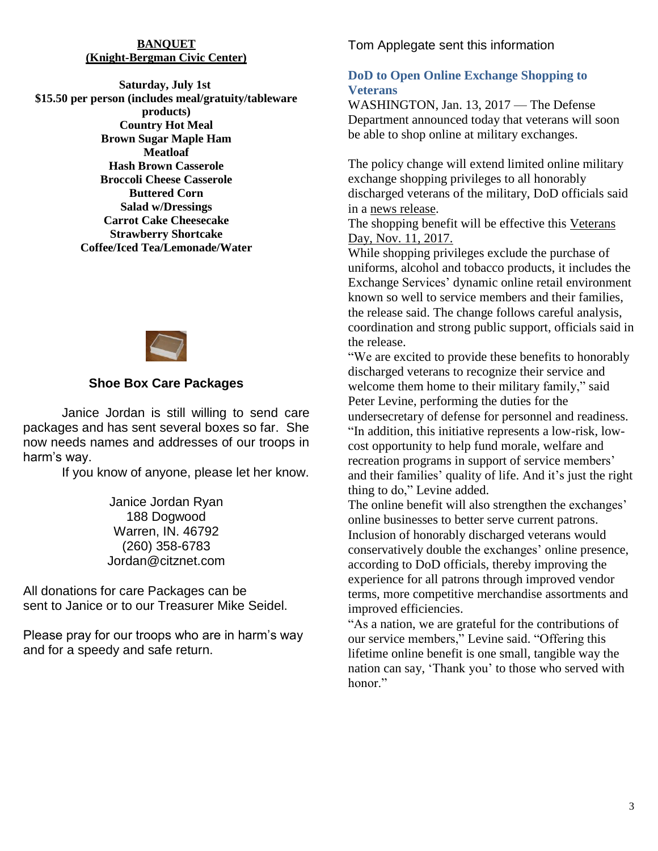### **BANQUET (Knight-Bergman Civic Center)**

**Saturday, July 1st \$15.50 per person (includes meal/gratuity/tableware products) Country Hot Meal Brown Sugar Maple Ham Meatloaf Hash Brown Casserole Broccoli Cheese Casserole Buttered Corn Salad w/Dressings Carrot Cake Cheesecake Strawberry Shortcake Coffee/Iced Tea/Lemonade/Water**



# **Shoe Box Care Packages**

Janice Jordan is still willing to send care packages and has sent several boxes so far. She now needs names and addresses of our troops in harm's way.

If you know of anyone, please let her know.

Janice Jordan Ryan 188 Dogwood Warren, IN. 46792 (260) 358-6783 Jordan@citznet.com

All donations for care Packages can be sent to Janice or to our Treasurer Mike Seidel.

Please pray for our troops who are in harm's way and for a speedy and safe return.

Tom Applegate sent this information

# **DoD to Open Online Exchange Shopping to Veterans**

WASHINGTON, Jan. 13, 2017 — The Defense Department announced today that veterans will soon be able to shop online at military exchanges.

The policy change will extend limited online military exchange shopping privileges to all honorably discharged veterans of the military, DoD officials said in a news [release.](https://www.defense.gov/News/News-Releases/News-Release-View/Article/1049503/department-of-defense-extends-online-military-exchange-shopping-privileges-to-v)

The shopping benefit will be effective this Veterans Day, Nov. 11, 2017.

While shopping privileges exclude the purchase of uniforms, alcohol and tobacco products, it includes the Exchange Services' dynamic online retail environment known so well to service members and their families, the release said. The change follows careful analysis, coordination and strong public support, officials said in the release.

"We are excited to provide these benefits to honorably discharged veterans to recognize their service and welcome them home to their military family," said Peter Levine, performing the duties for the undersecretary of defense for personnel and readiness. "In addition, this initiative represents a low-risk, lowcost opportunity to help fund morale, welfare and recreation programs in support of service members' and their families' quality of life. And it's just the right thing to do," Levine added.

The online benefit will also strengthen the exchanges' online businesses to better serve current patrons. Inclusion of honorably discharged veterans would conservatively double the exchanges' online presence, according to DoD officials, thereby improving the experience for all patrons through improved vendor terms, more competitive merchandise assortments and improved efficiencies.

"As a nation, we are grateful for the contributions of our service members," Levine said. "Offering this lifetime online benefit is one small, tangible way the nation can say, 'Thank you' to those who served with honor<sup>"</sup>